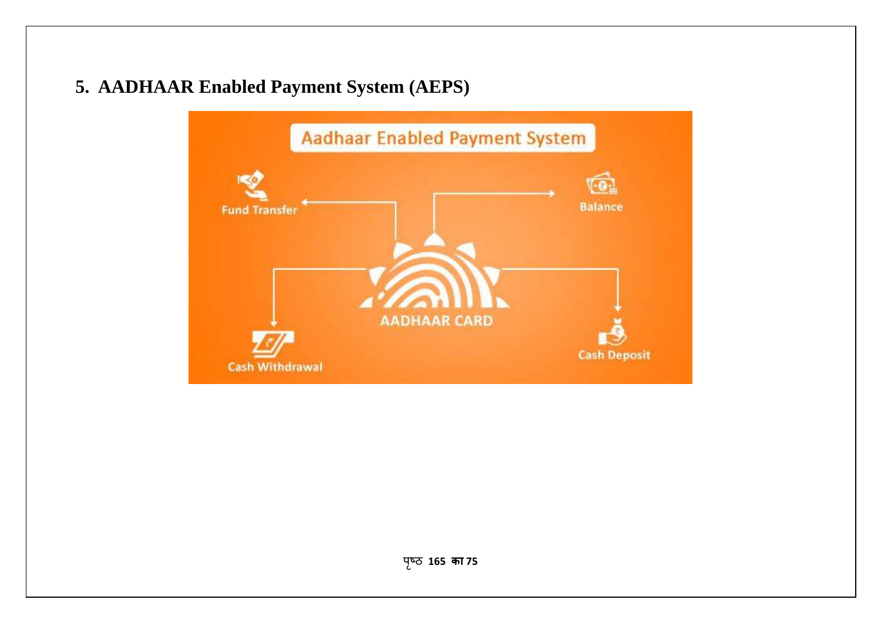# **5. AADHAAR Enabled Payment System (AEPS)**

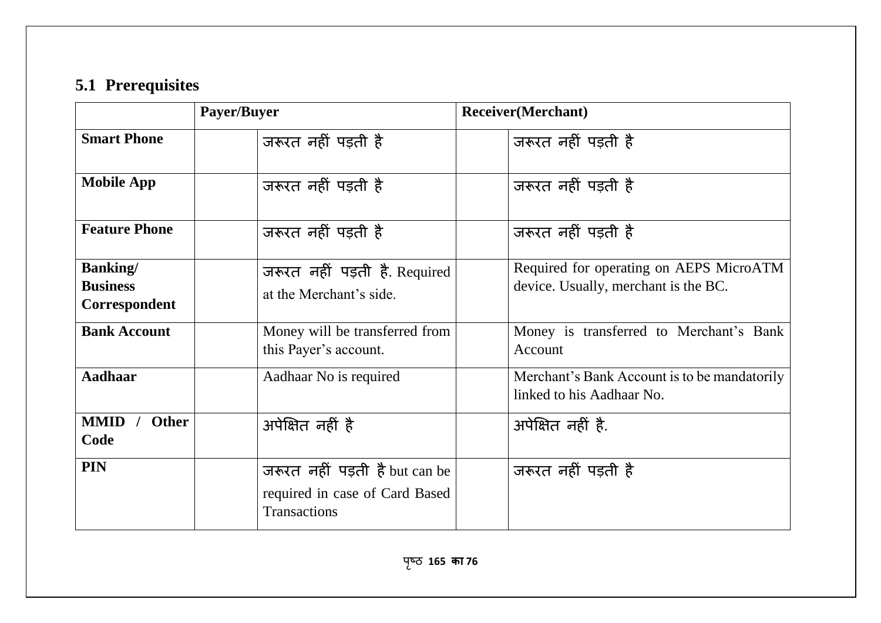# **5.1 Prerequisites**

|                                                     | Payer/Buyer                                                                      | <b>Receiver</b> (Merchant)                                                      |
|-----------------------------------------------------|----------------------------------------------------------------------------------|---------------------------------------------------------------------------------|
| <b>Smart Phone</b>                                  | जरूरत नहीं पड़ती है                                                              | जरूरत नहीं पड़ती है                                                             |
| <b>Mobile App</b>                                   | जरूरत नहीं पड़ती है                                                              | जरूरत नहीं पड़ती है                                                             |
| <b>Feature Phone</b>                                | जरूरत नहीं पड़ती है                                                              | जरूरत नहीं पड़ती है                                                             |
| <b>Banking/</b><br><b>Business</b><br>Correspondent | जरूरत नहीं पड़ती है. Required<br>at the Merchant's side.                         | Required for operating on AEPS MicroATM<br>device. Usually, merchant is the BC. |
| <b>Bank Account</b>                                 | Money will be transferred from<br>this Payer's account.                          | Money is transferred to Merchant's Bank<br>Account                              |
| <b>Aadhaar</b>                                      | Aadhaar No is required                                                           | Merchant's Bank Account is to be mandatorily<br>linked to his Aadhaar No.       |
| <b>MMID</b><br><b>Other</b><br>Code                 | अपेक्षित नहीं है                                                                 | अपेक्षित नहीं है.                                                               |
| <b>PIN</b>                                          | जरूरत नहीं पड़ती है but can be<br>required in case of Card Based<br>Transactions | जरूरत नहीं पड़ती है                                                             |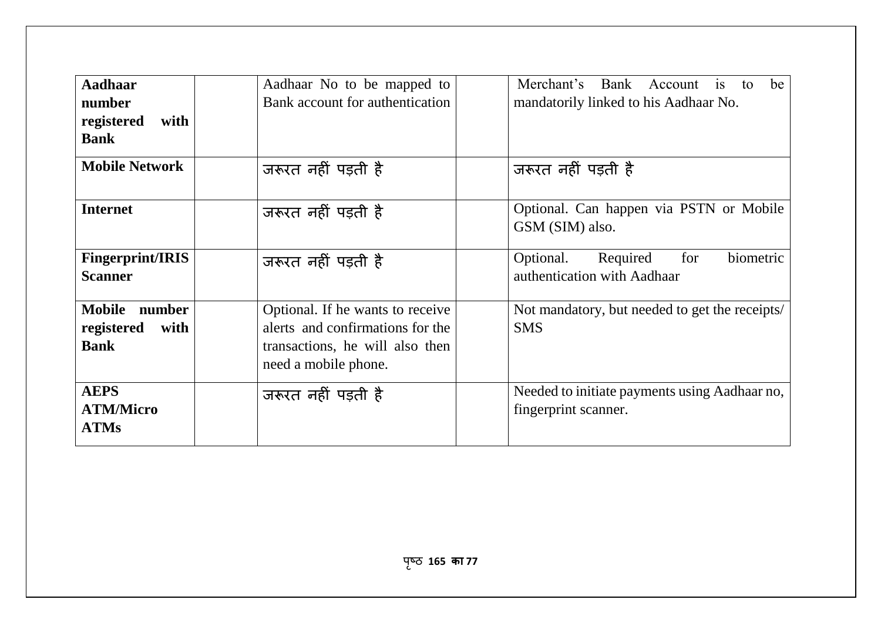| <b>Aadhaar</b><br>number<br>registered<br>with<br><b>Bank</b> | Aadhaar No to be mapped to<br>Bank account for authentication                                                                   | Merchant's<br>Bank Account<br>be<br><b>1S</b><br>to<br>mandatorily linked to his Aadhaar No. |
|---------------------------------------------------------------|---------------------------------------------------------------------------------------------------------------------------------|----------------------------------------------------------------------------------------------|
| <b>Mobile Network</b>                                         | जरूरत नहीं पड़ती है                                                                                                             | जरूरत नहीं पड़ती है                                                                          |
| <b>Internet</b>                                               | जरूरत नहीं पड़ती है                                                                                                             | Optional. Can happen via PSTN or Mobile<br>GSM (SIM) also.                                   |
| <b>Fingerprint/IRIS</b><br><b>Scanner</b>                     | जरूरत नहीं पड़ती है                                                                                                             | biometric<br>Required<br>for<br>Optional.<br>authentication with Aadhaar                     |
| Mobile number<br>registered<br>with<br><b>Bank</b>            | Optional. If he wants to receive<br>alerts and confirmations for the<br>transactions, he will also then<br>need a mobile phone. | Not mandatory, but needed to get the receipts/<br><b>SMS</b>                                 |
| <b>AEPS</b><br><b>ATM/Micro</b><br><b>ATMs</b>                | जरूरत नहीं पड़ती है                                                                                                             | Needed to initiate payments using Aadhaar no,<br>fingerprint scanner.                        |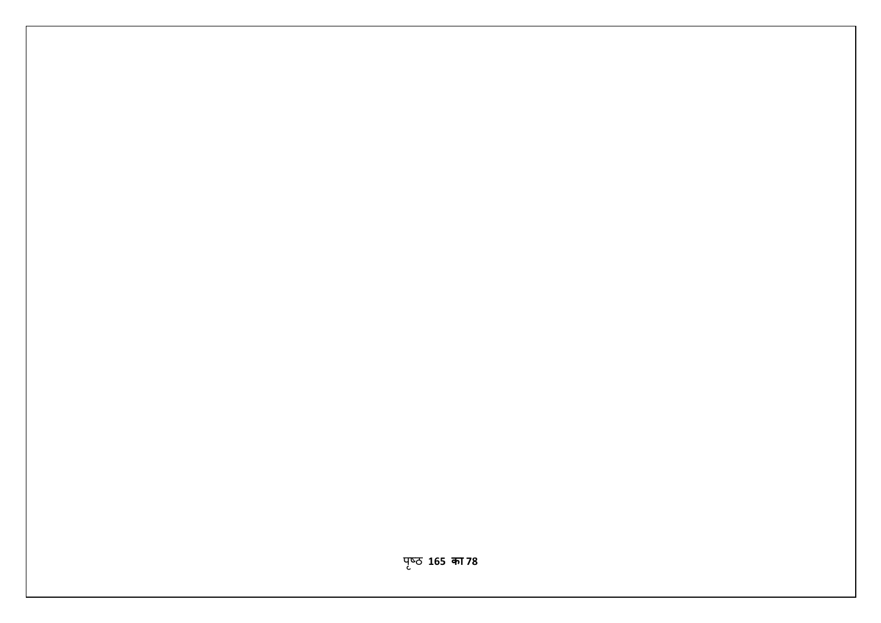पष्ृठ **165 का 78**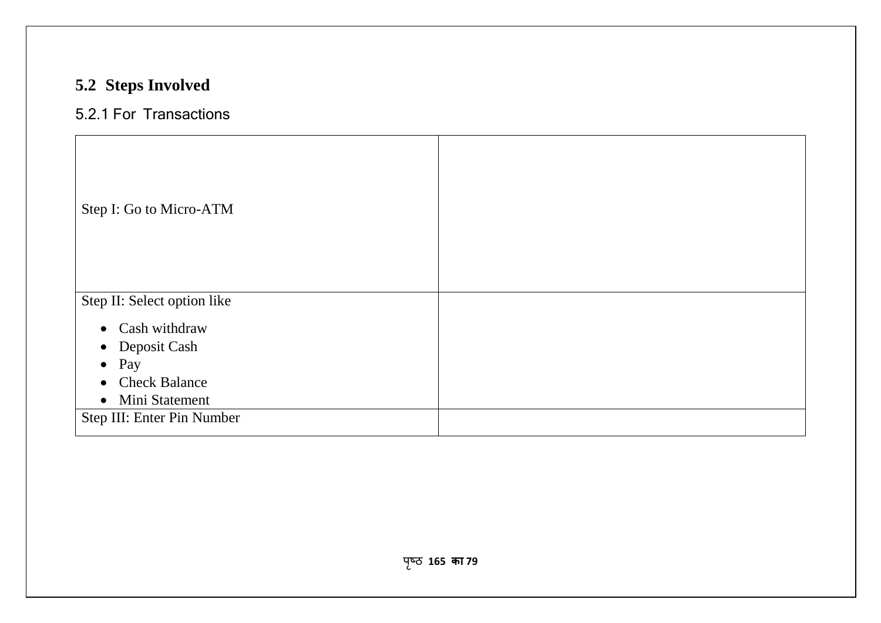# **5.2 Steps Involved**

# 5.2.1 For Transactions

| Step I: Go to Micro-ATM                                                                                                 |  |
|-------------------------------------------------------------------------------------------------------------------------|--|
| Step II: Select option like                                                                                             |  |
| • Cash withdraw<br>• Deposit Cash<br>$\bullet$ Pay<br>• Check Balance<br>• Mini Statement<br>Step III: Enter Pin Number |  |
|                                                                                                                         |  |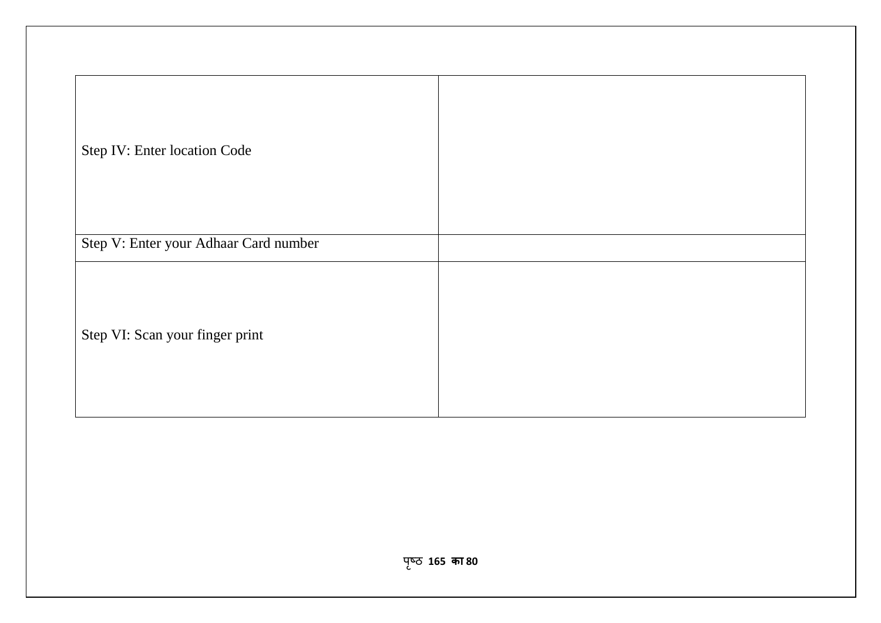| Step IV: Enter location Code          |  |
|---------------------------------------|--|
| Step V: Enter your Adhaar Card number |  |
| Step VI: Scan your finger print       |  |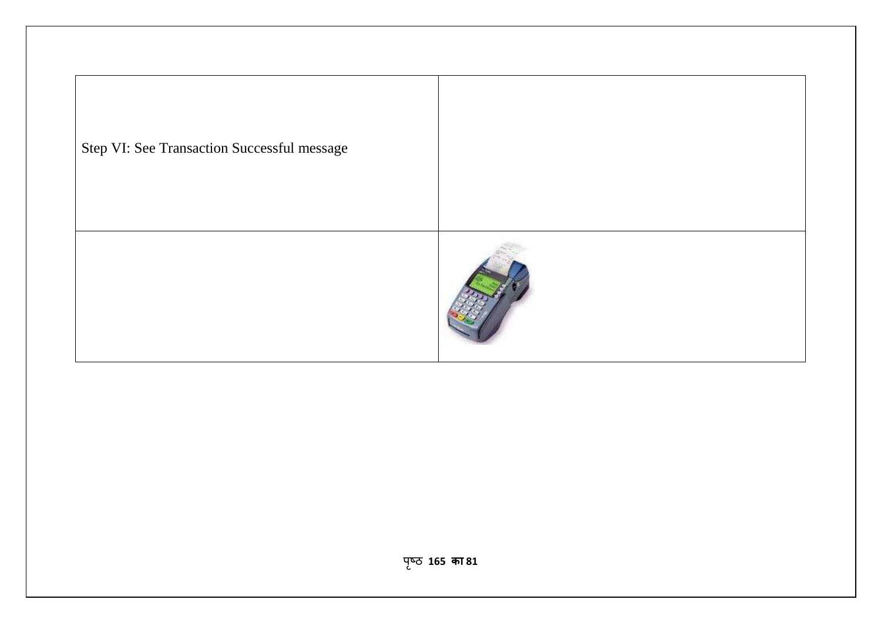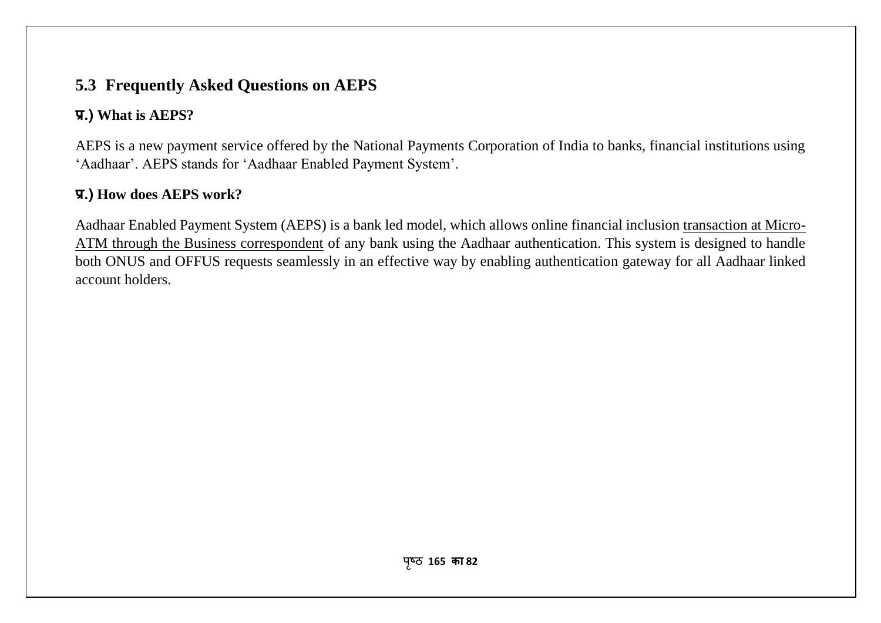# **5.3 Frequently Asked Questions on AEPS**

#### **प्र.) What is AEPS?**

AEPS is a new payment service offered by the National Payments Corporation of India to banks, financial institutions using 'Aadhaar'. AEPS stands for 'Aadhaar Enabled Payment System'.

#### **प्र.) How does AEPS work?**

Aadhaar Enabled Payment System (AEPS) is a bank led model, which allows online financial inclusion transaction at Micro-ATM through the Business correspondent of any bank using the Aadhaar authentication. This system is designed to handle both ONUS and OFFUS requests seamlessly in an effective way by enabling authentication gateway for all Aadhaar linked account holders.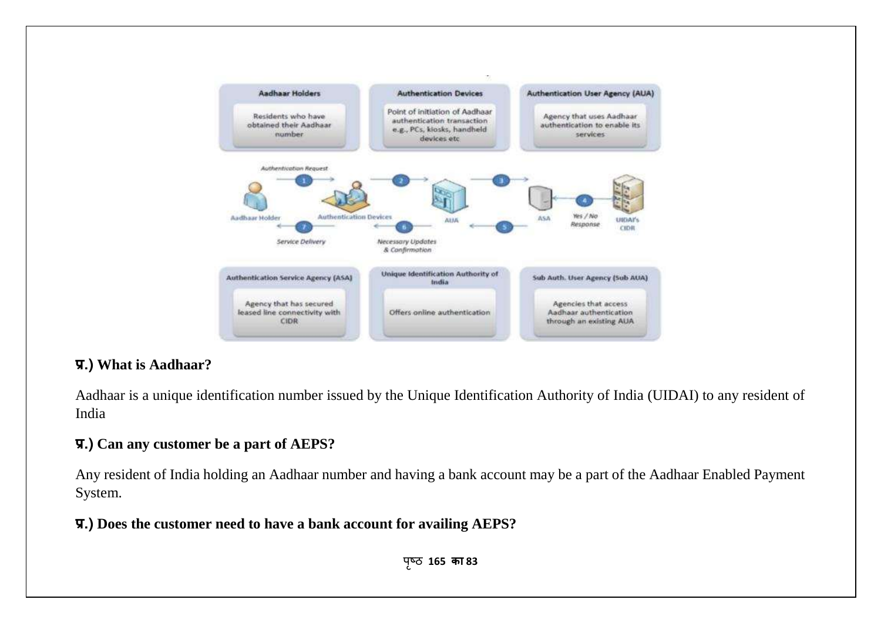

#### **प्र.) What is Aadhaar?**

Aadhaar is a unique identification number issued by the Unique Identification Authority of India (UIDAI) to any resident of India

#### **प्र.) Can any customer be a part of AEPS?**

Any resident of India holding an Aadhaar number and having a bank account may be a part of the Aadhaar Enabled Payment System.

**प्र.) Does the customer need to have a bank account for availing AEPS?**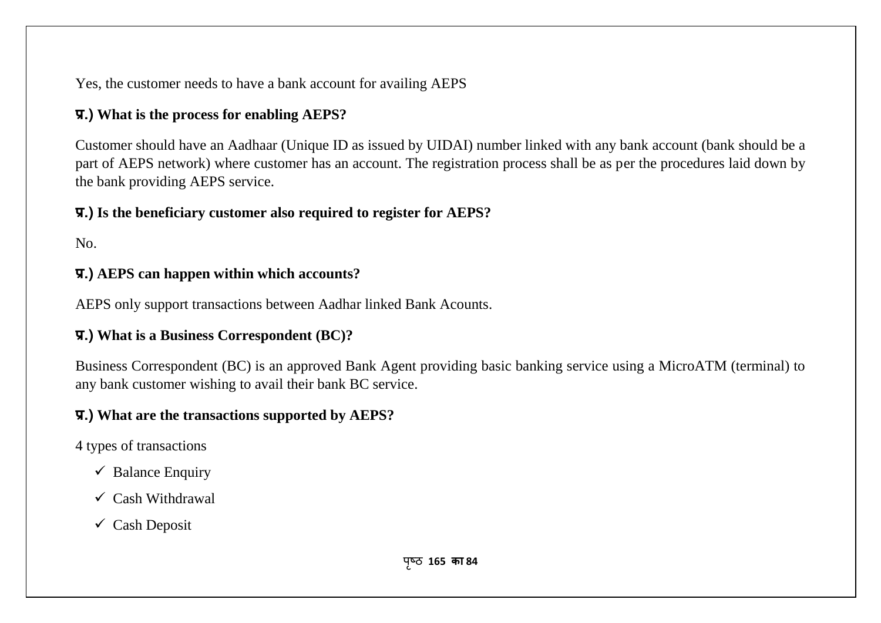Yes, the customer needs to have a bank account for availing AEPS

### **प्र.) What is the process for enabling AEPS?**

Customer should have an Aadhaar (Unique ID as issued by UIDAI) number linked with any bank account (bank should be a part of AEPS network) where customer has an account. The registration process shall be as per the procedures laid down by the bank providing AEPS service.

## **प्र.) Is the beneficiary customer also required to register for AEPS?**

No.

## **प्र.) AEPS can happen within which accounts?**

AEPS only support transactions between Aadhar linked Bank Acounts.

#### **प्र.) What is a Business Correspondent (BC)?**

Business Correspondent (BC) is an approved Bank Agent providing basic banking service using a MicroATM (terminal) to any bank customer wishing to avail their bank BC service.

#### **प्र.) What are the transactions supported by AEPS?**

4 types of transactions

- $\checkmark$  Balance Enquiry
- $\checkmark$  Cash Withdrawal
- $\checkmark$  Cash Deposit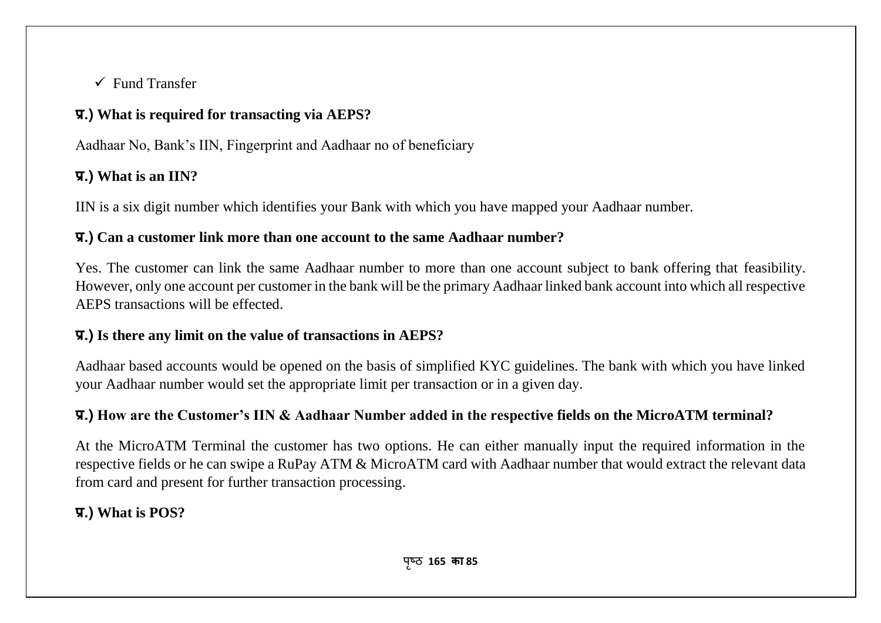## $\checkmark$  Fund Transfer

## **प्र.) What is required for transacting via AEPS?**

Aadhaar No, Bank's IIN, Fingerprint and Aadhaar no of beneficiary

# **प्र.) What is an IIN?**

IIN is a six digit number which identifies your Bank with which you have mapped your Aadhaar number.

#### **प्र.) Can a customer link more than one account to the same Aadhaar number?**

Yes. The customer can link the same Aadhaar number to more than one account subject to bank offering that feasibility. However, only one account per customer in the bank will be the primary Aadhaar linked bank account into which all respective AEPS transactions will be effected.

#### **प्र.) Is there any limit on the value of transactions in AEPS?**

Aadhaar based accounts would be opened on the basis of simplified KYC guidelines. The bank with which you have linked your Aadhaar number would set the appropriate limit per transaction or in a given day.

#### **प्र.) How are the Customer's IIN & Aadhaar Number added in the respective fields on the MicroATM terminal?**

At the MicroATM Terminal the customer has two options. He can either manually input the required information in the respective fields or he can swipe a RuPay ATM & MicroATM card with Aadhaar number that would extract the relevant data from card and present for further transaction processing.

# **प्र.) What is POS?**